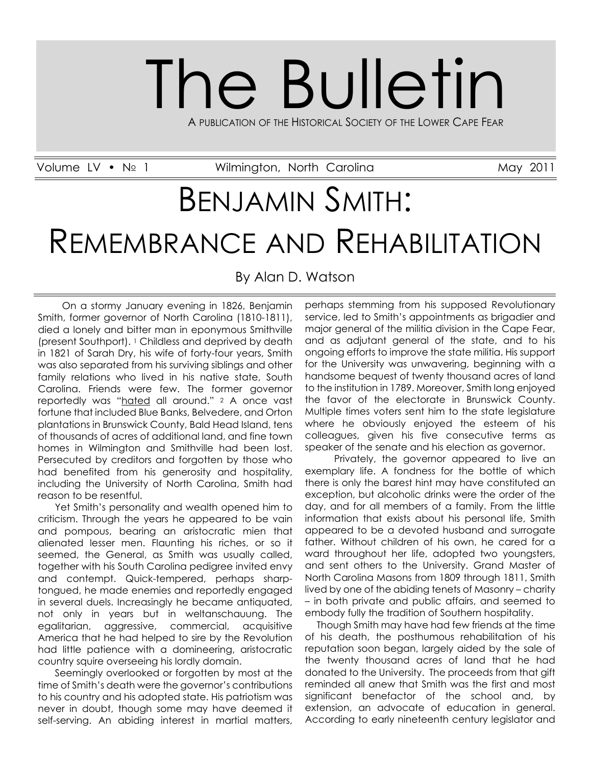# The Bulletin A PUBLICATION OF THE HISTORICAL SOCIETY OF THE LOWER CAPE FEAR

Volume LV • Nº 1 Milmington, North Carolina and May 2011

## BENJAMIN SMITH: REMEMBRANCE AND REHABILITATION

By Alan D. Watson

 On a stormy January evening in 1826, Benjamin Smith, former governor of North Carolina (1810-1811), died a lonely and bitter man in eponymous Smithville (present Southport). <sup>1</sup> Childless and deprived by death in 1821 of Sarah Dry, his wife of forty-four years, Smith was also separated from his surviving siblings and other family relations who lived in his native state, South Carolina. Friends were few. The former governor reportedly was "hated all around." <sup>2</sup> A once vast fortune that included Blue Banks, Belvedere, and Orton plantations in Brunswick County, Bald Head Island, tens of thousands of acres of additional land, and fine town homes in Wilmington and Smithville had been lost. Persecuted by creditors and forgotten by those who had benefited from his generosity and hospitality, including the University of North Carolina, Smith had reason to be resentful.

 Yet Smith's personality and wealth opened him to criticism. Through the years he appeared to be vain and pompous, bearing an aristocratic mien that alienated lesser men. Flaunting his riches, or so it seemed, the General, as Smith was usually called, together with his South Carolina pedigree invited envy and contempt. Quick-tempered, perhaps sharptongued, he made enemies and reportedly engaged in several duels. Increasingly he became antiquated, not only in years but in weltanschauung. The egalitarian, aggressive, commercial, acquisitive America that he had helped to sire by the Revolution had little patience with a domineering, aristocratic country squire overseeing his lordly domain.

 Seemingly overlooked or forgotten by most at the time of Smith's death were the governor's contributions to his country and his adopted state. His patriotism was never in doubt, though some may have deemed it self-serving. An abiding interest in martial matters,

perhaps stemming from his supposed Revolutionary service, led to Smith's appointments as brigadier and major general of the militia division in the Cape Fear, and as adjutant general of the state, and to his ongoing efforts to improve the state militia. His support for the University was unwavering, beginning with a handsome bequest of twenty thousand acres of land to the institution in 1789. Moreover, Smith long enjoyed the favor of the electorate in Brunswick County. Multiple times voters sent him to the state legislature where he obviously enjoyed the esteem of his colleagues, given his five consecutive terms as speaker of the senate and his election as governor.

 Privately, the governor appeared to live an exemplary life. A fondness for the bottle of which there is only the barest hint may have constituted an exception, but alcoholic drinks were the order of the day, and for all members of a family. From the little information that exists about his personal life, Smith appeared to be a devoted husband and surrogate father. Without children of his own, he cared for a ward throughout her life, adopted two youngsters, and sent others to the University. Grand Master of North Carolina Masons from 1809 through 1811, Smith lived by one of the abiding tenets of Masonry – charity – in both private and public affairs, and seemed to embody fully the tradition of Southern hospitality.

 Though Smith may have had few friends at the time of his death, the posthumous rehabilitation of his reputation soon began, largely aided by the sale of the twenty thousand acres of land that he had donated to the University. The proceeds from that gift reminded all anew that Smith was the first and most significant benefactor of the school and, by extension, an advocate of education in general. According to early nineteenth century legislator and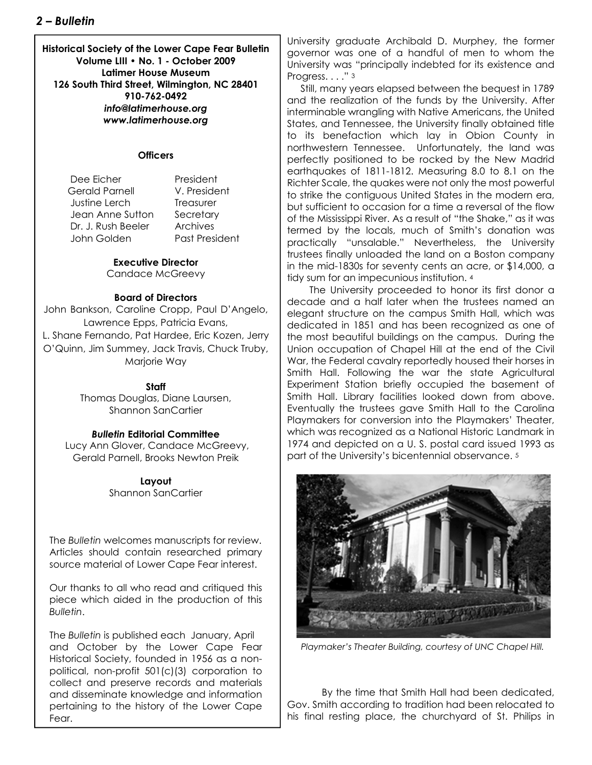**Historical Society of the Lower Cape Fear Bulletin Volume LIII • No. 1 - October 2009 Latimer House Museum 126 South Third Street, Wilmington, NC 28401 910-762-0492** *info@latimerhouse.org www.latimerhouse.org*

#### **Officers**

Dee Ficher President Gerald Parnell V. President Justine Lerch Treasurer Jean Anne Sutton Secretary Dr. J. Rush Beeler Archives John Golden Past President

#### **Executive Director**

Candace McGreevy

#### **Board of Directors**

John Bankson, Caroline Cropp, Paul D'Angelo, Lawrence Epps, Patricia Evans, L. Shane Fernando, Pat Hardee, Eric Kozen, Jerry O'Quinn, Jim Summey, Jack Travis, Chuck Truby, Marjorie Way

#### **Staff**

Thomas Douglas, Diane Laursen, Shannon SanCartier

#### *Bulletin* **Editorial Committee**

 Lucy Ann Glover, Candace McGreevy, Gerald Parnell, Brooks Newton Preik

> **Layout** Shannon SanCartier

The *Bulletin* welcomes manuscripts for review. Articles should contain researched primary source material of Lower Cape Fear interest.

Our thanks to all who read and critiqued this piece which aided in the production of this *Bulletin*.

The *Bulletin* is published each January, April and October by the Lower Cape Fear Historical Society, founded in 1956 as a nonpolitical, non-profit 501(c)(3) corporation to collect and preserve records and materials and disseminate knowledge and information pertaining to the history of the Lower Cape Fear.

University graduate Archibald D. Murphey, the former governor was one of a handful of men to whom the University was "principally indebted for its existence and Progress. . . . " 3

 Still, many years elapsed between the bequest in 1789 and the realization of the funds by the University. After interminable wrangling with Native Americans, the United States, and Tennessee, the University finally obtained title to its benefaction which lay in Obion County in northwestern Tennessee. Unfortunately, the land was perfectly positioned to be rocked by the New Madrid earthquakes of 1811-1812. Measuring 8.0 to 8.1 on the Richter Scale, the quakes were not only the most powerful to strike the contiguous United States in the modern era, but sufficient to occasion for a time a reversal of the flow of the Mississippi River. As a result of "the Shake," as it was termed by the locals, much of Smith's donation was practically "unsalable." Nevertheless, the University trustees finally unloaded the land on a Boston company in the mid-1830s for seventy cents an acre, or \$14,000, a tidy sum for an impecunious institution. <sup>4</sup>

 The University proceeded to honor its first donor a decade and a half later when the trustees named an elegant structure on the campus Smith Hall, which was dedicated in 1851 and has been recognized as one of the most beautiful buildings on the campus. During the Union occupation of Chapel Hill at the end of the Civil War, the Federal cavalry reportedly housed their horses in Smith Hall. Following the war the state Agricultural Experiment Station briefly occupied the basement of Smith Hall. Library facilities looked down from above. Eventually the trustees gave Smith Hall to the Carolina Playmakers for conversion into the Playmakers' Theater, which was recognized as a National Historic Landmark in 1974 and depicted on a U. S. postal card issued 1993 as part of the University's bicentennial observance. <sup>5</sup>



*Playmaker's Theater Building, courtesy of UNC Chapel Hill.*

 By the time that Smith Hall had been dedicated, Gov. Smith according to tradition had been relocated to his final resting place, the churchyard of St. Philips in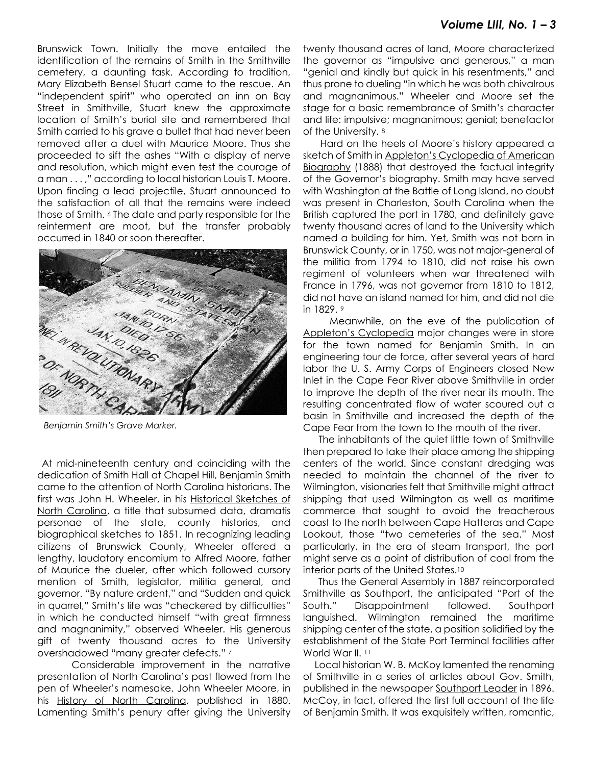Brunswick Town. Initially the move entailed the identification of the remains of Smith in the Smithville cemetery, a daunting task. According to tradition, Mary Elizabeth Bensel Stuart came to the rescue. An "independent spirit" who operated an inn on Bay Street in Smithville, Stuart knew the approximate location of Smith's burial site and remembered that Smith carried to his grave a bullet that had never been removed after a duel with Maurice Moore. Thus she proceeded to sift the ashes "With a display of nerve and resolution, which might even test the courage of a man . . . ," according to local historian Louis T. Moore. Upon finding a lead projectile, Stuart announced to the satisfaction of all that the remains were indeed those of Smith. <sup>6</sup> The date and party responsible for the reinterment are moot, but the transfer probably occurred in 1840 or soon thereafter.



*Benjamin Smith's Grave Marker.*

 At mid-nineteenth century and coinciding with the dedication of Smith Hall at Chapel Hill, Benjamin Smith came to the attention of North Carolina historians. The first was John H. Wheeler, in his Historical Sketches of North Carolina, a title that subsumed data, dramatis personae of the state, county histories, and biographical sketches to 1851. In recognizing leading citizens of Brunswick County, Wheeler offered a lengthy, laudatory encomium to Alfred Moore, father of Maurice the dueler, after which followed cursory mention of Smith, legislator, militia general, and governor. "By nature ardent," and "Sudden and quick in quarrel," Smith's life was "checkered by difficulties" in which he conducted himself "with great firmness and magnanimity," observed Wheeler. His generous gift of twenty thousand acres to the University overshadowed "many greater defects." <sup>7</sup>

 Considerable improvement in the narrative presentation of North Carolina's past flowed from the pen of Wheeler's namesake, John Wheeler Moore, in his History of North Carolina, published in 1880. Lamenting Smith's penury after giving the University

twenty thousand acres of land, Moore characterized the governor as "impulsive and generous," a man "genial and kindly but quick in his resentments," and thus prone to dueling "in which he was both chivalrous and magnanimous." Wheeler and Moore set the stage for a basic remembrance of Smith's character and life: impulsive; magnanimous; genial; benefactor of the University. <sup>8</sup>

 Hard on the heels of Moore's history appeared a sketch of Smith in Appleton's Cyclopedia of American Biography (1888) that destroyed the factual integrity of the Governor's biography. Smith may have served with Washington at the Battle of Long Island, no doubt was present in Charleston, South Carolina when the British captured the port in 1780, and definitely gave twenty thousand acres of land to the University which named a building for him. Yet, Smith was not born in Brunswick County, or in 1750, was not major-general of the militia from 1794 to 1810, did not raise his own regiment of volunteers when war threatened with France in 1796, was not governor from 1810 to 1812, did not have an island named for him, and did not die in 1829. <sup>9</sup>

 Meanwhile, on the eve of the publication of Appleton's Cyclopedia major changes were in store for the town named for Benjamin Smith. In an engineering tour de force, after several years of hard labor the U. S. Army Corps of Engineers closed New Inlet in the Cape Fear River above Smithville in order to improve the depth of the river near its mouth. The resulting concentrated flow of water scoured out a basin in Smithville and increased the depth of the Cape Fear from the town to the mouth of the river.

 The inhabitants of the quiet little town of Smithville then prepared to take their place among the shipping centers of the world. Since constant dredging was needed to maintain the channel of the river to Wilmington, visionaries felt that Smithville might attract shipping that used Wilmington as well as maritime commerce that sought to avoid the treacherous coast to the north between Cape Hatteras and Cape Lookout, those "two cemeteries of the sea." Most particularly, in the era of steam transport, the port might serve as a point of distribution of coal from the interior parts of the United States.<sup>10</sup>

 Thus the General Assembly in 1887 reincorporated Smithville as Southport, the anticipated "Port of the South." Disappointment followed. Southport languished. Wilmington remained the maritime shipping center of the state, a position solidified by the establishment of the State Port Terminal facilities after World War II. 11

 Local historian W. B. McKoy lamented the renaming of Smithville in a series of articles about Gov. Smith, published in the newspaper Southport Leader in 1896. McCoy, in fact, offered the first full account of the life of Benjamin Smith. It was exquisitely written, romantic,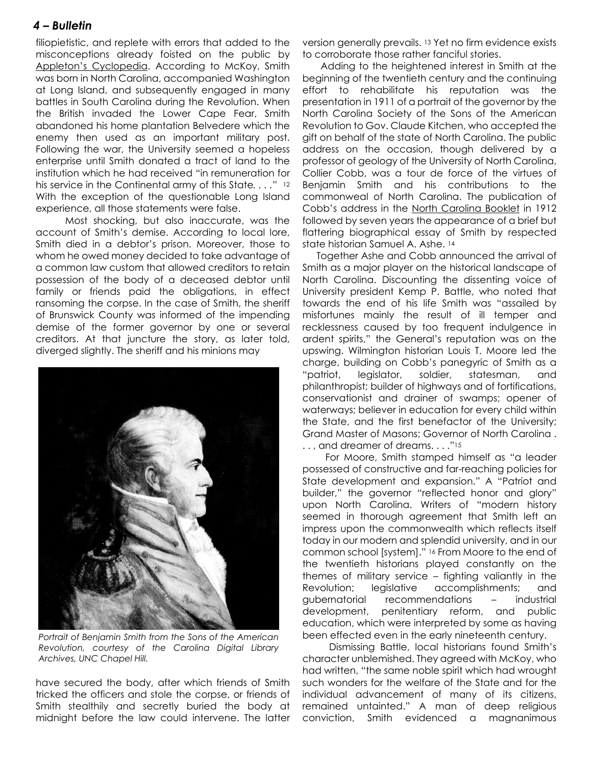## *4 – Bulletin*

filiopietistic, and replete with errors that added to the misconceptions already foisted on the public by Appleton's Cyclopedia. According to McKoy, Smith was born in North Carolina, accompanied Washington at Long Island, and subsequently engaged in many battles in South Carolina during the Revolution. When the British invaded the Lower Cape Fear, Smith abandoned his home plantation Belvedere which the enemy then used as an important military post. Following the war, the University seemed a hopeless enterprise until Smith donated a tract of land to the institution which he had received "in remuneration for his service in the Continental army of this State*. . . .*" <sup>12</sup> With the exception of the questionable Long Island experience, all those statements were false.

 Most shocking, but also inaccurate, was the account of Smith's demise. According to local lore, Smith died in a debtor's prison. Moreover, those to whom he owed money decided to take advantage of a common law custom that allowed creditors to retain possession of the body of a deceased debtor until family or friends paid the obligations, in effect ransoming the corpse. In the case of Smith, the sheriff of Brunswick County was informed of the impending demise of the former governor by one or several creditors. At that juncture the story, as later told, diverged slightly. The sheriff and his minions may



*Portrait of Benjamin Smith from the Sons of the American Revolution, courtesy of the Carolina Digital Library Archives, UNC Chapel Hill.*

have secured the body, after which friends of Smith tricked the officers and stole the corpse, or friends of Smith stealthily and secretly buried the body at midnight before the law could intervene. The latter version generally prevails. <sup>13</sup> Yet no firm evidence exists to corroborate those rather fanciful stories.

 Adding to the heightened interest in Smith at the beginning of the twentieth century and the continuing effort to rehabilitate his reputation was the presentation in 1911 of a portrait of the governor by the North Carolina Society of the Sons of the American Revolution to Gov. Claude Kitchen, who accepted the gift on behalf of the state of North Carolina. The public address on the occasion, though delivered by a professor of geology of the University of North Carolina, Collier Cobb, was a tour de force of the virtues of Benjamin Smith and his contributions to the commonweal of North Carolina. The publication of Cobb's address in the North Carolina Booklet in 1912 followed by seven years the appearance of a brief but flattering biographical essay of Smith by respected state historian Samuel A. Ashe. <sup>14</sup>

 Together Ashe and Cobb announced the arrival of Smith as a major player on the historical landscape of North Carolina. Discounting the dissenting voice of University president Kemp P. Battle, who noted that towards the end of his life Smith was "assailed by misfortunes mainly the result of ill temper and recklessness caused by too frequent indulgence in ardent spirits," the General's reputation was on the upswing. Wilmington historian Louis T. Moore led the charge, building on Cobb's panegyric of Smith as a "patriot, legislator, soldier, statesman, and philanthropist; builder of highways and of fortifications, conservationist and drainer of swamps; opener of waterways; believer in education for every child within the State, and the first benefactor of the University; Grand Master of Masons; Governor of North Carolina . ... and dreamer of dreams...."<sup>15</sup>

 For Moore, Smith stamped himself as "a leader possessed of constructive and far-reaching policies for State development and expansion." A "Patriot and builder," the governor "reflected honor and glory" upon North Carolina. Writers of "modern history seemed in thorough agreement that Smith left an impress upon the commonwealth which reflects itself today in our modern and splendid university, and in our common school [system]." <sup>16</sup> From Moore to the end of the twentieth historians played constantly on the themes of military service – fighting valiantly in the Revolution; legislative accomplishments; and gubernatorial recommendations – industrial development, penitentiary reform, and public education, which were interpreted by some as having been effected even in the early nineteenth century.

 Dismissing Battle, local historians found Smith's character unblemished. They agreed with McKoy, who had written, "the same noble spirit which had wrought such wonders for the welfare of the State and for the individual advancement of many of its citizens, remained untainted." A man of deep religious conviction, Smith evidenced a magnanimous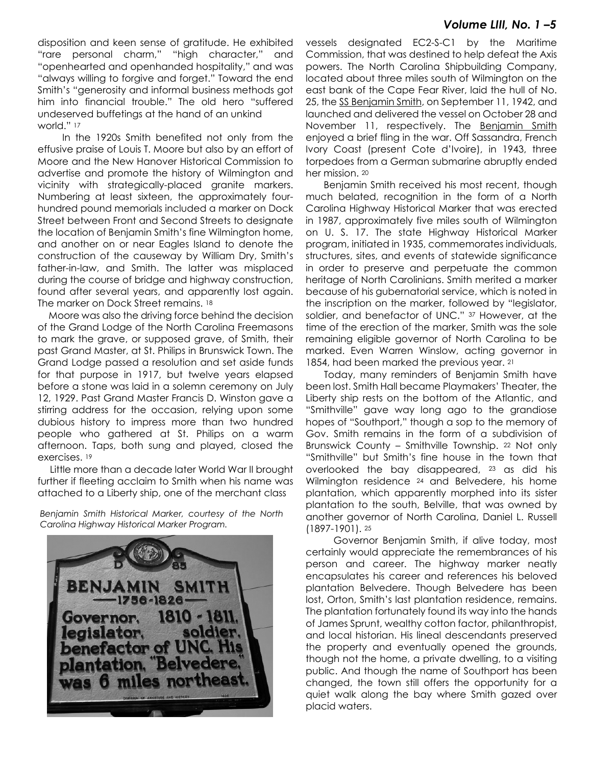### *Volume LIII, No. 1 –5*

disposition and keen sense of gratitude. He exhibited "rare personal charm," "high character," and "openhearted and openhanded hospitality," and was "always willing to forgive and forget." Toward the end Smith's "generosity and informal business methods got him into financial trouble." The old hero "suffered undeserved buffetings at the hand of an unkind world." 17

 In the 1920s Smith benefited not only from the effusive praise of Louis T. Moore but also by an effort of Moore and the New Hanover Historical Commission to advertise and promote the history of Wilmington and vicinity with strategically-placed granite markers. Numbering at least sixteen, the approximately fourhundred pound memorials included a marker on Dock Street between Front and Second Streets to designate the location of Benjamin Smith's fine Wilmington home, and another on or near Eagles Island to denote the construction of the causeway by William Dry, Smith's father-in-law, and Smith. The latter was misplaced during the course of bridge and highway construction, found after several years, and apparently lost again. The marker on Dock Street remains. 18

 Moore was also the driving force behind the decision of the Grand Lodge of the North Carolina Freemasons to mark the grave, or supposed grave, of Smith, their past Grand Master, at St. Philips in Brunswick Town. The Grand Lodge passed a resolution and set aside funds for that purpose in 1917, but twelve years elapsed before a stone was laid in a solemn ceremony on July 12, 1929. Past Grand Master Francis D. Winston gave a stirring address for the occasion, relying upon some dubious history to impress more than two hundred people who gathered at St. Philips on a warm afternoon. Taps, both sung and played, closed the exercises. <sup>19</sup>

 Little more than a decade later World War II brought further if fleeting acclaim to Smith when his name was attached to a Liberty ship, one of the merchant class

*Benjamin Smith Historical Marker, courtesy of the North Carolina Highway Historical Marker Program.*



vessels designated EC2-S-C1 by the Maritime Commission, that was destined to help defeat the Axis powers. The North Carolina Shipbuilding Company, located about three miles south of Wilmington on the east bank of the Cape Fear River, laid the hull of No. 25, the SS Benjamin Smith, on September 11, 1942, and launched and delivered the vessel on October 28 and November 11, respectively. The Benjamin Smith enjoyed a brief fling in the war. Off Sassandra, French Ivory Coast (present Cote d'Ivoire), in 1943, three torpedoes from a German submarine abruptly ended her mission. <sup>20</sup>

 Benjamin Smith received his most recent, though much belated, recognition in the form of a North Carolina Highway Historical Marker that was erected in 1987, approximately five miles south of Wilmington on U. S. 17. The state Highway Historical Marker program, initiated in 1935, commemorates individuals, structures, sites, and events of statewide significance in order to preserve and perpetuate the common heritage of North Carolinians. Smith merited a marker because of his gubernatorial service, which is noted in the inscription on the marker, followed by "legislator, soldier, and benefactor of UNC." <sup>37</sup> However, at the time of the erection of the marker, Smith was the sole remaining eligible governor of North Carolina to be marked. Even Warren Winslow, acting governor in 1854, had been marked the previous year. <sup>21</sup>

 Today, many reminders of Benjamin Smith have been lost. Smith Hall became Playmakers' Theater, the Liberty ship rests on the bottom of the Atlantic, and "Smithville" gave way long ago to the grandiose hopes of "Southport," though a sop to the memory of Gov. Smith remains in the form of a subdivision of Brunswick County – Smithville Township. <sup>22</sup> Not only "Smithville" but Smith's fine house in the town that overlooked the bay disappeared, <sup>23</sup> as did his Wilmington residence <sup>24</sup> and Belvedere, his home plantation, which apparently morphed into its sister plantation to the south, Belville, that was owned by another governor of North Carolina, Daniel L. Russell (1897-1901). <sup>25</sup>

 Governor Benjamin Smith, if alive today, most certainly would appreciate the remembrances of his person and career. The highway marker neatly encapsulates his career and references his beloved plantation Belvedere. Though Belvedere has been lost, Orton, Smith's last plantation residence, remains. The plantation fortunately found its way into the hands of James Sprunt, wealthy cotton factor, philanthropist, and local historian. His lineal descendants preserved the property and eventually opened the grounds, though not the home, a private dwelling, to a visiting public. And though the name of Southport has been changed, the town still offers the opportunity for a quiet walk along the bay where Smith gazed over placid waters.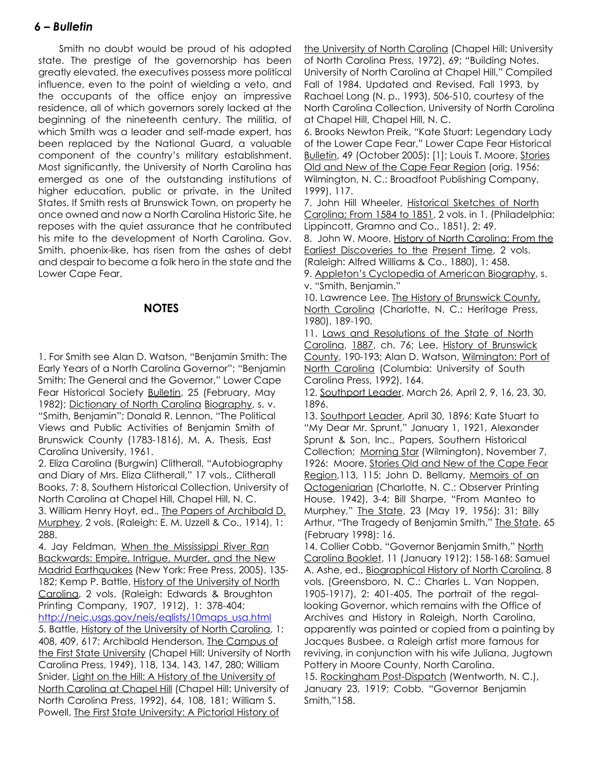## *6 – Bulletin*

 Smith no doubt would be proud of his adopted state. The prestige of the governorship has been greatly elevated, the executives possess more political influence, even to the point of wielding a veto, and the occupants of the office enjoy an impressive residence, all of which governors sorely lacked at the beginning of the nineteenth century. The militia, of which Smith was a leader and self-made expert, has been replaced by the National Guard, a valuable component of the country's military establishment. Most significantly, the University of North Carolina has emerged as one of the outstanding institutions of higher education, public or private, in the United States. If Smith rests at Brunswick Town, on property he once owned and now a North Carolina Historic Site, he reposes with the quiet assurance that he contributed his mite to the development of North Carolina. Gov. Smith, phoenix-like, has risen from the ashes of debt and despair to become a folk hero in the state and the Lower Cape Fear.

### **NOTES**

1. For Smith see Alan D. Watson, "Benjamin Smith: The Early Years of a North Carolina Governor"; "Benjamin Smith: The General and the Governor," Lower Cape Fear Historical Society Bulletin, 25 (February, May 1982); Dictionary of North Carolina Biography, s. v. "Smith, Benjamin"; Donald R. Lennon, "The Political Views and Public Activities of Benjamin Smith of Brunswick County (1783-1816), M. A. Thesis, East Carolina University, 1961.

2. Eliza Carolina (Burgwin) Clitherall, "Autobiography and Diary of Mrs. Eliza Clitherall," 17 vols., Clitherall Books, 7: 8, Southern Historical Collection, University of North Carolina at Chapel Hill, Chapel Hill, N. C. 3. William Henry Hoyt, ed., The Papers of Archibald D. Murphey, 2 vols. (Raleigh: E. M. Uzzell & Co., 1914), 1: 288.

4. Jay Feldman, When the Mississippi River Ran Backwards: Empire, Intrigue, Murder, and the New Madrid Earthquakes (New York: Free Press, 2005), 135- 182; Kemp P. Battle, History of the University of North Carolina, 2 vols. (Raleigh: Edwards & Broughton Printing Company, 1907, 1912), 1: 378-404; http://neic.usgs.gov/neis/eqlists/10maps\_usa.html 5. Battle, History of the University of North Carolina, 1: 408, 409, 617; Archibald Henderson, The Campus of the First State University (Chapel Hill: University of North Carolina Press, 1949), 118, 134, 143, 147, 280; William Snider, Light on the Hill: A History of the University of North Carolina at Chapel Hill (Chapel Hill: University of North Carolina Press, 1992), 64, 108, 181; William S. Powell, The First State University: A Pictorial History of

the University of North Carolina (Chapel Hill: University of North Carolina Press, 1972), 69; "Building Notes. University of North Carolina at Chapel Hill," Compiled Fall of 1984. Updated and Revised, Fall 1993, by Rachael Long (N. p., 1993), 506-510, courtesy of the North Carolina Collection, University of North Carolina at Chapel Hill, Chapel Hill, N. C.

6. Brooks Newton Preik, "Kate Stuart: Legendary Lady of the Lower Cape Fear," Lower Cape Fear Historical Bulletin, 49 (October 2005): [1]; Louis T. Moore, Stories Old and New of the Cape Fear Region (orig. 1956; Wilmington, N. C.: Broadfoot Publishing Company, 1999), 117.

7. John Hill Wheeler, Historical Sketches of North Carolina; From 1584 to 1851, 2 vols. in 1. (Philadelphia: Lippincott, Gramno and Co., 1851), 2: 49.

8. John W. Moore, History of North Carolina; From the Earliest Discoveries to the Present Time, 2 vols. (Raleigh: Alfred Williams & Co., 1880), 1: 458.

9. Appleton's Cyclopedia of American Biography, s. v. "Smith, Benjamin."

10. Lawrence Lee, The History of Brunswick County, North Carolina (Charlotte, N. C.: Heritage Press, 1980), 189-190.

11. Laws and Resolutions of the State of North Carolina, 1887, ch. 76; Lee, History of Brunswick County, 190-193; Alan D. Watson, Wilmington: Port of North Carolina (Columbia: University of South Carolina Press, 1992), 164.

12. Southport Leader, March 26, April 2, 9, 16, 23, 30, 1896.

13. Southport Leader, April 30, 1896; Kate Stuart to "My Dear Mr. Sprunt," January 1, 1921, Alexander Sprunt & Son, Inc., Papers, Southern Historical Collection; Morning Star (Wilmington), November 7, 1926; Moore, Stories Old and New of the Cape Fear Region,113, 115; John D. Bellamy, Memoirs of an Octogeniarian (Charlotte, N. C.: Observer Printing House, 1942), 3-4; Bill Sharpe, "From Manteo to Murphey," The State, 23 (May 19, 1956): 31; Billy Arthur, "The Tragedy of Benjamin Smith," The State, 65 (February 1998): 16.

14. Collier Cobb, "Governor Benjamin Smith," North Carolina Booklet, 11 (January 1912): 158-168; Samuel A. Ashe, ed., Biographical History of North Carolina, 8 vols. (Greensboro, N. C.: Charles L. Van Noppen, 1905-1917), 2: 401-405. The portrait of the regallooking Governor, which remains with the Office of Archives and History in Raleigh, North Carolina, apparently was painted or copied from a painting by Jacques Busbee, a Raleigh artist more famous for reviving, in conjunction with his wife Juliana, Jugtown Pottery in Moore County, North Carolina. 15. Rockingham Post-Dispatch (Wentworth, N. C.), January 23, 1919; Cobb, "Governor Benjamin Smith,"158.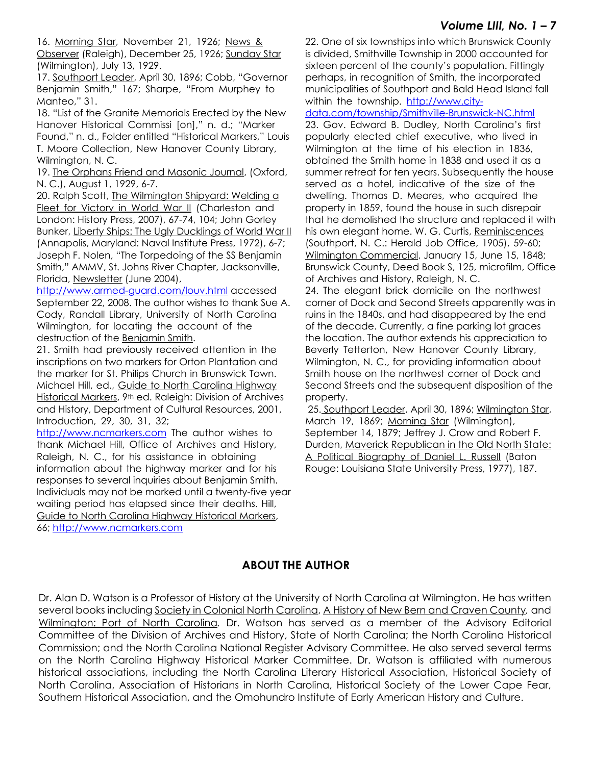## *Volume LIII, No. 1 – 7*

16. Morning Star, November 21, 1926; News & Observer (Raleigh), December 25, 1926; Sunday Star (Wilmington), July 13, 1929.

17. Southport Leader, April 30, 1896; Cobb, "Governor Benjamin Smith," 167; Sharpe, "From Murphey to Manteo," 31.

18. "List of the Granite Memorials Erected by the New Hanover Historical Commissi [on]," n. d.; "Marker Found," n. d., Folder entitled "Historical Markers," Louis T. Moore Collection, New Hanover County Library, Wilmington, N. C.

19. The Orphans Friend and Masonic Journal, (Oxford, N. C.), August 1, 1929, 6-7.

20. Ralph Scott, The Wilmington Shipyard: Welding a Fleet for Victory in World War II (Charleston and London: History Press, 2007), 67-74, 104; John Gorley Bunker, Liberty Ships: The Ugly Ducklings of World War II (Annapolis, Maryland: Naval Institute Press, 1972), 6-7; Joseph F. Nolen, "The Torpedoing of the SS Benjamin Smith," AMMV, St. Johns River Chapter, Jacksonville, Florida, Newsletter (June 2004),

http://www.armed-guard.com/louv.html accessed September 22, 2008. The author wishes to thank Sue A. Cody, Randall Library, University of North Carolina Wilmington, for locating the account of the destruction of the **Benjamin Smith.** 

21. Smith had previously received attention in the inscriptions on two markers for Orton Plantation and the marker for St. Philips Church in Brunswick Town. Michael Hill, ed., Guide to North Carolina Highway Historical Markers, 9<sup>th</sup> ed. Raleigh: Division of Archives and History, Department of Cultural Resources, 2001, Introduction, 29, 30, 31, 32;

http://www.ncmarkers.com The author wishes to thank Michael Hill, Office of Archives and History, Raleigh, N. C., for his assistance in obtaining information about the highway marker and for his responses to several inquiries about Benjamin Smith. Individuals may not be marked until a twenty-five year waiting period has elapsed since their deaths. Hill, Guide to North Carolina Highway Historical Markers, 66; http://www.ncmarkers.com

22. One of six townships into which Brunswick County is divided, Smithville Township in 2000 accounted for sixteen percent of the county's population. Fittingly perhaps, in recognition of Smith, the incorporated municipalities of Southport and Bald Head Island fall within the township. http://www.city-

data.com/township/Smithville-Brunswick-NC.html 23. Gov. Edward B. Dudley, North Carolina's first popularly elected chief executive, who lived in Wilmington at the time of his election in 1836, obtained the Smith home in 1838 and used it as a summer retreat for ten years. Subsequently the house served as a hotel, indicative of the size of the dwelling. Thomas D. Meares, who acquired the property in 1859, found the house in such disrepair that he demolished the structure and replaced it with his own elegant home. W. G. Curtis, Reminiscences (Southport, N. C.: Herald Job Office, 1905), 59-60; Wilmington Commercial, January 15, June 15, 1848; Brunswick County, Deed Book S, 125, microfilm, Office of Archives and History, Raleigh, N. C.

24. The elegant brick domicile on the northwest corner of Dock and Second Streets apparently was in ruins in the 1840s, and had disappeared by the end of the decade. Currently, a fine parking lot graces the location. The author extends his appreciation to Beverly Tetterton, New Hanover County Library, Wilmington, N. C., for providing information about Smith house on the northwest corner of Dock and Second Streets and the subsequent disposition of the property.

 25. Southport Leader, April 30, 1896; Wilmington Star, March 19, 1869; Morning Star (Wilmington), September 14, 1879; Jeffrey J. Crow and Robert F. Durden, Maverick Republican in the Old North State: A Political Biography of Daniel L. Russell (Baton Rouge: Louisiana State University Press, 1977), 187.

## **ABOUT THE AUTHOR**

Dr. Alan D. Watson is a Professor of History at the University of North Carolina at Wilmington. He has written several books including Society in Colonial North Carolina, A History of New Bern and Craven County*,* and Wilmington: Port of North Carolina*.* Dr. Watson has served as a member of the Advisory Editorial Committee of the Division of Archives and History, State of North Carolina; the North Carolina Historical Commission; and the North Carolina National Register Advisory Committee. He also served several terms on the North Carolina Highway Historical Marker Committee. Dr. Watson is affiliated with numerous historical associations, including the North Carolina Literary Historical Association, Historical Society of North Carolina, Association of Historians in North Carolina, Historical Society of the Lower Cape Fear, Southern Historical Association, and the Omohundro Institute of Early American History and Culture.